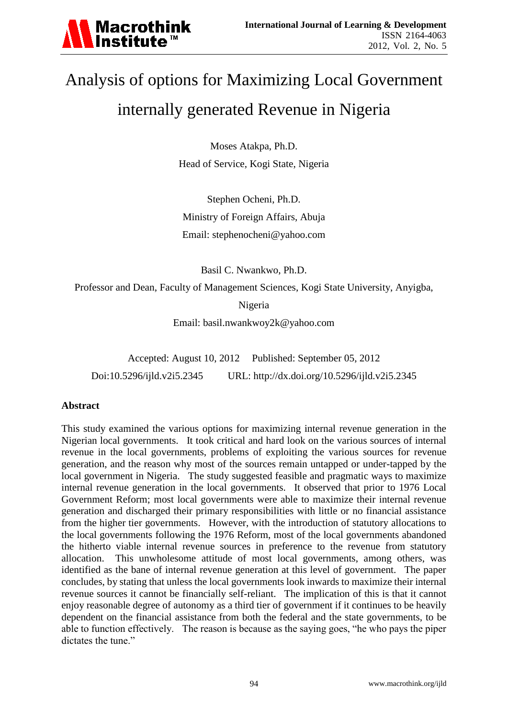

# Analysis of options for Maximizing Local Government internally generated Revenue in Nigeria

Moses Atakpa, Ph.D. Head of Service, Kogi State, Nigeria

Stephen Ocheni, Ph.D. Ministry of Foreign Affairs, Abuja Email: [stephenocheni@yahoo.com](mailto:stephenocheni@yahoo.com)

Basil C. Nwankwo, Ph.D.

Professor and Dean, Faculty of Management Sciences, Kogi State University, Anyigba,

Nigeria

Email: [basil.nwankwoy2k@yahoo.com](mailto:basil.nwankwoy2k@yahoo.com)

Accepted: August 10, 2012 Published: September 05, 2012 Doi:10.5296/ijld.v2i5.2345 URL: http://dx.doi.org/10.5296/ijld.v2i5.2345

#### **Abstract**

This study examined the various options for maximizing internal revenue generation in the Nigerian local governments. It took critical and hard look on the various sources of internal revenue in the local governments, problems of exploiting the various sources for revenue generation, and the reason why most of the sources remain untapped or under-tapped by the local government in Nigeria. The study suggested feasible and pragmatic ways to maximize internal revenue generation in the local governments. It observed that prior to 1976 Local Government Reform; most local governments were able to maximize their internal revenue generation and discharged their primary responsibilities with little or no financial assistance from the higher tier governments. However, with the introduction of statutory allocations to the local governments following the 1976 Reform, most of the local governments abandoned the hitherto viable internal revenue sources in preference to the revenue from statutory allocation. This unwholesome attitude of most local governments, among others, was identified as the bane of internal revenue generation at this level of government. The paper concludes, by stating that unless the local governments look inwards to maximize their internal revenue sources it cannot be financially self-reliant. The implication of this is that it cannot enjoy reasonable degree of autonomy as a third tier of government if it continues to be heavily dependent on the financial assistance from both the federal and the state governments, to be able to function effectively. The reason is because as the saying goes, "he who pays the piper dictates the tune."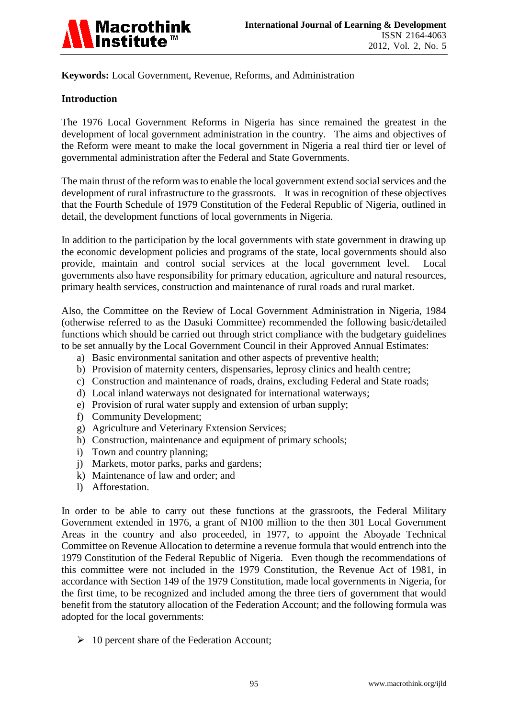

**Keywords:** Local Government, Revenue, Reforms, and Administration

## **Introduction**

The 1976 Local Government Reforms in Nigeria has since remained the greatest in the development of local government administration in the country. The aims and objectives of the Reform were meant to make the local government in Nigeria a real third tier or level of governmental administration after the Federal and State Governments.

The main thrust of the reform was to enable the local government extend social services and the development of rural infrastructure to the grassroots. It was in recognition of these objectives that the Fourth Schedule of 1979 Constitution of the Federal Republic of Nigeria, outlined in detail, the development functions of local governments in Nigeria.

In addition to the participation by the local governments with state government in drawing up the economic development policies and programs of the state, local governments should also provide, maintain and control social services at the local government level. Local governments also have responsibility for primary education, agriculture and natural resources, primary health services, construction and maintenance of rural roads and rural market.

Also, the Committee on the Review of Local Government Administration in Nigeria, 1984 (otherwise referred to as the Dasuki Committee) recommended the following basic/detailed functions which should be carried out through strict compliance with the budgetary guidelines to be set annually by the Local Government Council in their Approved Annual Estimates:

- a) Basic environmental sanitation and other aspects of preventive health;
- b) Provision of maternity centers, dispensaries, leprosy clinics and health centre;
- c) Construction and maintenance of roads, drains, excluding Federal and State roads;
- d) Local inland waterways not designated for international waterways;
- e) Provision of rural water supply and extension of urban supply;
- f) Community Development;
- g) Agriculture and Veterinary Extension Services;
- h) Construction, maintenance and equipment of primary schools;
- i) Town and country planning;
- j) Markets, motor parks, parks and gardens;
- k) Maintenance of law and order; and
- l) Afforestation.

In order to be able to carry out these functions at the grassroots, the Federal Military Government extended in 1976, a grant of  $\frac{N100}{N100}$  million to the then 301 Local Government Areas in the country and also proceeded, in 1977, to appoint the Aboyade Technical Committee on Revenue Allocation to determine a revenue formula that would entrench into the 1979 Constitution of the Federal Republic of Nigeria. Even though the recommendations of this committee were not included in the 1979 Constitution, the Revenue Act of 1981, in accordance with Section 149 of the 1979 Constitution, made local governments in Nigeria, for the first time, to be recognized and included among the three tiers of government that would benefit from the statutory allocation of the Federation Account; and the following formula was adopted for the local governments:

 $\geq 10$  percent share of the Federation Account;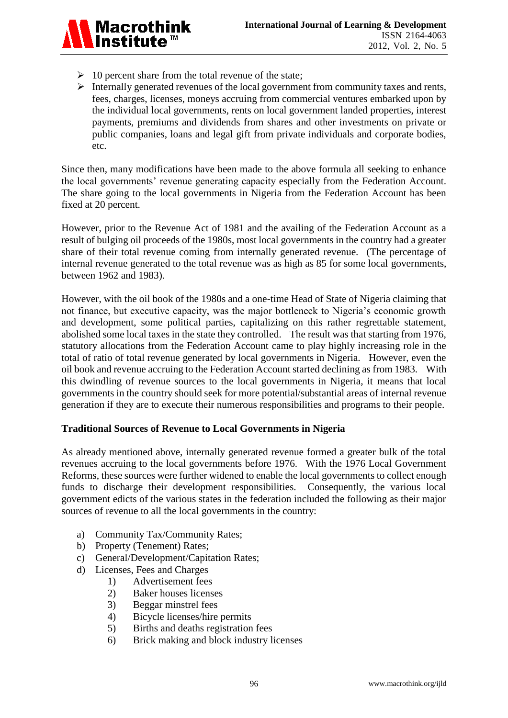

- $\geq 10$  percent share from the total revenue of the state;
- $\triangleright$  Internally generated revenues of the local government from community taxes and rents, fees, charges, licenses, moneys accruing from commercial ventures embarked upon by the individual local governments, rents on local government landed properties, interest payments, premiums and dividends from shares and other investments on private or public companies, loans and legal gift from private individuals and corporate bodies, etc.

Since then, many modifications have been made to the above formula all seeking to enhance the local governments' revenue generating capacity especially from the Federation Account. The share going to the local governments in Nigeria from the Federation Account has been fixed at 20 percent.

However, prior to the Revenue Act of 1981 and the availing of the Federation Account as a result of bulging oil proceeds of the 1980s, most local governments in the country had a greater share of their total revenue coming from internally generated revenue. (The percentage of internal revenue generated to the total revenue was as high as 85 for some local governments, between 1962 and 1983).

However, with the oil book of the 1980s and a one-time Head of State of Nigeria claiming that not finance, but executive capacity, was the major bottleneck to Nigeria's economic growth and development, some political parties, capitalizing on this rather regrettable statement, abolished some local taxes in the state they controlled. The result was that starting from 1976, statutory allocations from the Federation Account came to play highly increasing role in the total of ratio of total revenue generated by local governments in Nigeria. However, even the oil book and revenue accruing to the Federation Account started declining as from 1983. With this dwindling of revenue sources to the local governments in Nigeria, it means that local governments in the country should seek for more potential/substantial areas of internal revenue generation if they are to execute their numerous responsibilities and programs to their people.

#### **Traditional Sources of Revenue to Local Governments in Nigeria**

As already mentioned above, internally generated revenue formed a greater bulk of the total revenues accruing to the local governments before 1976. With the 1976 Local Government Reforms, these sources were further widened to enable the local governments to collect enough funds to discharge their development responsibilities. Consequently, the various local government edicts of the various states in the federation included the following as their major sources of revenue to all the local governments in the country:

- a) Community Tax/Community Rates;
- b) Property (Tenement) Rates;
- c) General/Development/Capitation Rates;
- d) Licenses, Fees and Charges
	- 1) Advertisement fees
	- 2) Baker houses licenses
	- 3) Beggar minstrel fees
	- 4) Bicycle licenses/hire permits
	- 5) Births and deaths registration fees
	- 6) Brick making and block industry licenses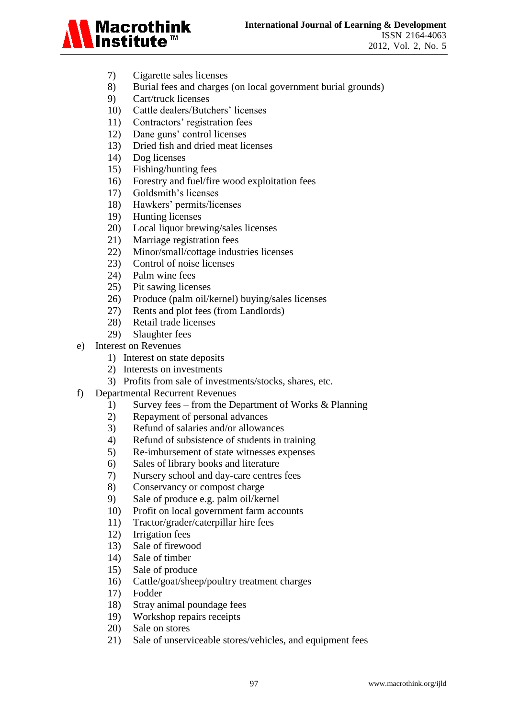

- 7) Cigarette sales licenses
- 8) Burial fees and charges (on local government burial grounds)
- 9) Cart/truck licenses
- 10) Cattle dealers/Butchers' licenses
- 11) Contractors" registration fees
- 12) Dane guns" control licenses
- 13) Dried fish and dried meat licenses
- 14) Dog licenses
- 15) Fishing/hunting fees
- 16) Forestry and fuel/fire wood exploitation fees
- 17) Goldsmith's licenses
- 18) Hawkers" permits/licenses
- 19) Hunting licenses
- 20) Local liquor brewing/sales licenses
- 21) Marriage registration fees
- 22) Minor/small/cottage industries licenses
- 23) Control of noise licenses
- 24) Palm wine fees
- 25) Pit sawing licenses
- 26) Produce (palm oil/kernel) buying/sales licenses
- 27) Rents and plot fees (from Landlords)
- 28) Retail trade licenses
- 29) Slaughter fees
- e) Interest on Revenues
	- 1) Interest on state deposits
	- 2) Interests on investments
	- 3) Profits from sale of investments/stocks, shares, etc.
- f) Departmental Recurrent Revenues
	- 1) Survey fees from the Department of Works & Planning
	- 2) Repayment of personal advances
	- 3) Refund of salaries and/or allowances
	- 4) Refund of subsistence of students in training
	- 5) Re-imbursement of state witnesses expenses
	- 6) Sales of library books and literature
	- 7) Nursery school and day-care centres fees
	- 8) Conservancy or compost charge
	- 9) Sale of produce e.g. palm oil/kernel
	- 10) Profit on local government farm accounts
	- 11) Tractor/grader/caterpillar hire fees
	- 12) Irrigation fees
	- 13) Sale of firewood
	- 14) Sale of timber
	- 15) Sale of produce
	- 16) Cattle/goat/sheep/poultry treatment charges
	- 17) Fodder
	- 18) Stray animal poundage fees
	- 19) Workshop repairs receipts
	- 20) Sale on stores
	- 21) Sale of unserviceable stores/vehicles, and equipment fees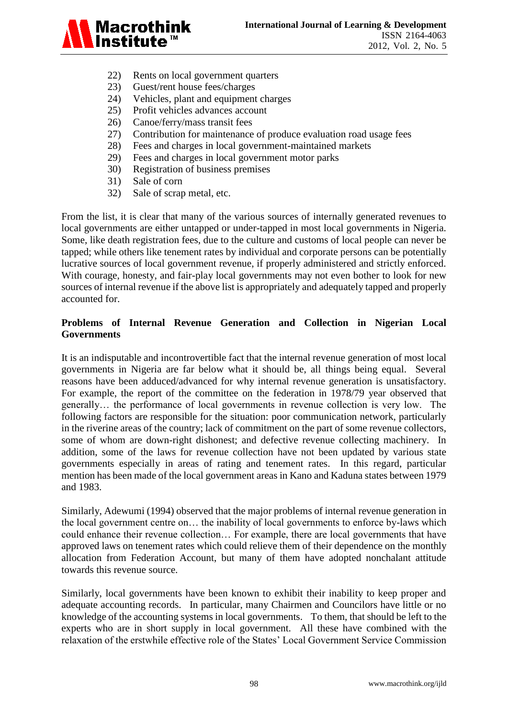

- 22) Rents on local government quarters
- 23) Guest/rent house fees/charges
- 24) Vehicles, plant and equipment charges
- 25) Profit vehicles advances account
- 26) Canoe/ferry/mass transit fees
- 27) Contribution for maintenance of produce evaluation road usage fees
- 28) Fees and charges in local government-maintained markets
- 29) Fees and charges in local government motor parks
- 30) Registration of business premises
- 31) Sale of corn
- 32) Sale of scrap metal, etc.

From the list, it is clear that many of the various sources of internally generated revenues to local governments are either untapped or under-tapped in most local governments in Nigeria. Some, like death registration fees, due to the culture and customs of local people can never be tapped; while others like tenement rates by individual and corporate persons can be potentially lucrative sources of local government revenue, if properly administered and strictly enforced. With courage, honesty, and fair-play local governments may not even bother to look for new sources of internal revenue if the above list is appropriately and adequately tapped and properly accounted for.

# **Problems of Internal Revenue Generation and Collection in Nigerian Local Governments**

It is an indisputable and incontrovertible fact that the internal revenue generation of most local governments in Nigeria are far below what it should be, all things being equal. Several reasons have been adduced/advanced for why internal revenue generation is unsatisfactory. For example, the report of the committee on the federation in 1978/79 year observed that generally… the performance of local governments in revenue collection is very low. The following factors are responsible for the situation: poor communication network, particularly in the riverine areas of the country; lack of commitment on the part of some revenue collectors, some of whom are down-right dishonest; and defective revenue collecting machinery. In addition, some of the laws for revenue collection have not been updated by various state governments especially in areas of rating and tenement rates. In this regard, particular mention has been made of the local government areas in Kano and Kaduna states between 1979 and 1983.

Similarly, Adewumi (1994) observed that the major problems of internal revenue generation in the local government centre on… the inability of local governments to enforce by-laws which could enhance their revenue collection… For example, there are local governments that have approved laws on tenement rates which could relieve them of their dependence on the monthly allocation from Federation Account, but many of them have adopted nonchalant attitude towards this revenue source.

Similarly, local governments have been known to exhibit their inability to keep proper and adequate accounting records. In particular, many Chairmen and Councilors have little or no knowledge of the accounting systems in local governments. To them, that should be left to the experts who are in short supply in local government. All these have combined with the relaxation of the erstwhile effective role of the States" Local Government Service Commission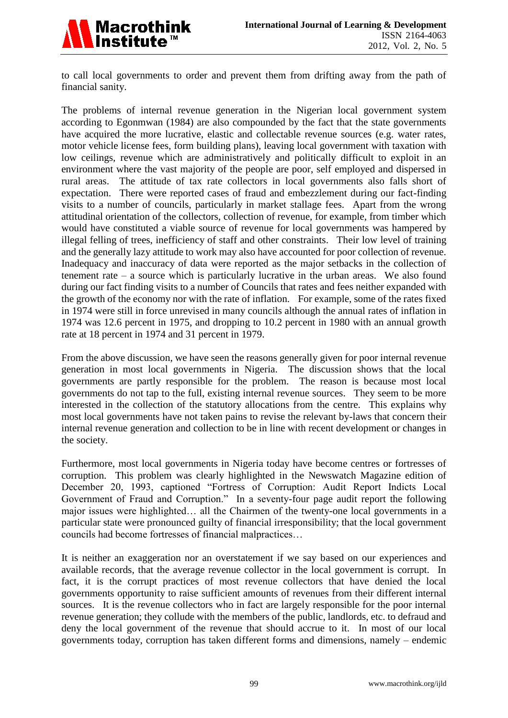

to call local governments to order and prevent them from drifting away from the path of financial sanity.

The problems of internal revenue generation in the Nigerian local government system according to Egonmwan (1984) are also compounded by the fact that the state governments have acquired the more lucrative, elastic and collectable revenue sources (e.g. water rates, motor vehicle license fees, form building plans), leaving local government with taxation with low ceilings, revenue which are administratively and politically difficult to exploit in an environment where the vast majority of the people are poor, self employed and dispersed in rural areas. The attitude of tax rate collectors in local governments also falls short of expectation. There were reported cases of fraud and embezzlement during our fact-finding visits to a number of councils, particularly in market stallage fees. Apart from the wrong attitudinal orientation of the collectors, collection of revenue, for example, from timber which would have constituted a viable source of revenue for local governments was hampered by illegal felling of trees, inefficiency of staff and other constraints. Their low level of training and the generally lazy attitude to work may also have accounted for poor collection of revenue. Inadequacy and inaccuracy of data were reported as the major setbacks in the collection of tenement rate – a source which is particularly lucrative in the urban areas. We also found during our fact finding visits to a number of Councils that rates and fees neither expanded with the growth of the economy nor with the rate of inflation. For example, some of the rates fixed in 1974 were still in force unrevised in many councils although the annual rates of inflation in 1974 was 12.6 percent in 1975, and dropping to 10.2 percent in 1980 with an annual growth rate at 18 percent in 1974 and 31 percent in 1979.

From the above discussion, we have seen the reasons generally given for poor internal revenue generation in most local governments in Nigeria. The discussion shows that the local governments are partly responsible for the problem. The reason is because most local governments do not tap to the full, existing internal revenue sources. They seem to be more interested in the collection of the statutory allocations from the centre. This explains why most local governments have not taken pains to revise the relevant by-laws that concern their internal revenue generation and collection to be in line with recent development or changes in the society.

Furthermore, most local governments in Nigeria today have become centres or fortresses of corruption. This problem was clearly highlighted in the Newswatch Magazine edition of December 20, 1993, captioned "Fortress of Corruption: Audit Report Indicts Local Government of Fraud and Corruption." In a seventy-four page audit report the following major issues were highlighted… all the Chairmen of the twenty-one local governments in a particular state were pronounced guilty of financial irresponsibility; that the local government councils had become fortresses of financial malpractices…

It is neither an exaggeration nor an overstatement if we say based on our experiences and available records, that the average revenue collector in the local government is corrupt. In fact, it is the corrupt practices of most revenue collectors that have denied the local governments opportunity to raise sufficient amounts of revenues from their different internal sources. It is the revenue collectors who in fact are largely responsible for the poor internal revenue generation; they collude with the members of the public, landlords, etc. to defraud and deny the local government of the revenue that should accrue to it. In most of our local governments today, corruption has taken different forms and dimensions, namely – endemic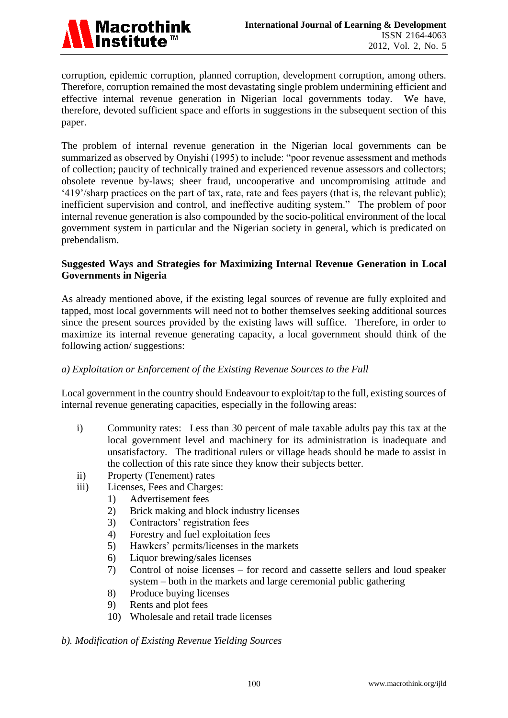corruption, epidemic corruption, planned corruption, development corruption, among others. Therefore, corruption remained the most devastating single problem undermining efficient and effective internal revenue generation in Nigerian local governments today. We have, therefore, devoted sufficient space and efforts in suggestions in the subsequent section of this paper.

The problem of internal revenue generation in the Nigerian local governments can be summarized as observed by Onyishi (1995) to include: "poor revenue assessment and methods of collection; paucity of technically trained and experienced revenue assessors and collectors; obsolete revenue by-laws; sheer fraud, uncooperative and uncompromising attitude and "419"/sharp practices on the part of tax, rate, rate and fees payers (that is, the relevant public); inefficient supervision and control, and ineffective auditing system." The problem of poor internal revenue generation is also compounded by the socio-political environment of the local government system in particular and the Nigerian society in general, which is predicated on prebendalism.

# **Suggested Ways and Strategies for Maximizing Internal Revenue Generation in Local Governments in Nigeria**

As already mentioned above, if the existing legal sources of revenue are fully exploited and tapped, most local governments will need not to bother themselves seeking additional sources since the present sources provided by the existing laws will suffice. Therefore, in order to maximize its internal revenue generating capacity, a local government should think of the following action/ suggestions:

# *a) Exploitation or Enforcement of the Existing Revenue Sources to the Full*

Local government in the country should Endeavour to exploit/tap to the full, existing sources of internal revenue generating capacities, especially in the following areas:

- i) Community rates: Less than 30 percent of male taxable adults pay this tax at the local government level and machinery for its administration is inadequate and unsatisfactory. The traditional rulers or village heads should be made to assist in the collection of this rate since they know their subjects better.
- ii) Property (Tenement) rates
- iii) Licenses, Fees and Charges:
	- 1) Advertisement fees
	- 2) Brick making and block industry licenses
	- 3) Contractors' registration fees
	- 4) Forestry and fuel exploitation fees
	- 5) Hawkers" permits/licenses in the markets
	- 6) Liquor brewing/sales licenses
	- 7) Control of noise licenses for record and cassette sellers and loud speaker system – both in the markets and large ceremonial public gathering
	- 8) Produce buying licenses
	- 9) Rents and plot fees
	- 10) Wholesale and retail trade licenses

#### *b). Modification of Existing Revenue Yielding Sources*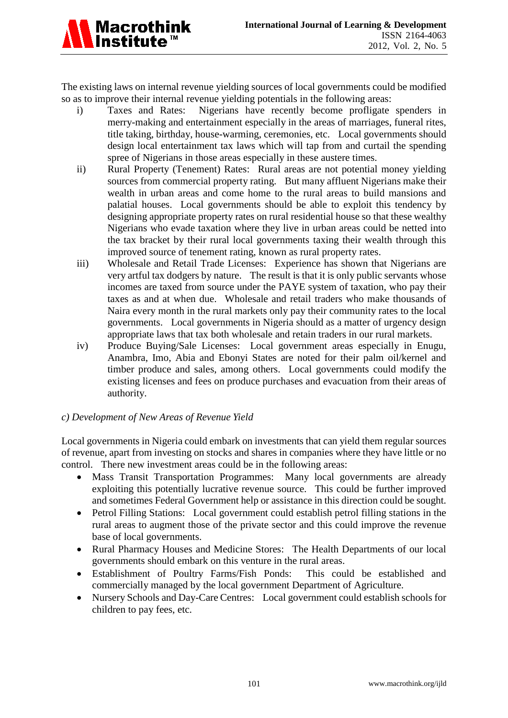The existing laws on internal revenue yielding sources of local governments could be modified so as to improve their internal revenue yielding potentials in the following areas:

- i) Taxes and Rates: Nigerians have recently become profligate spenders in merry-making and entertainment especially in the areas of marriages, funeral rites, title taking, birthday, house-warming, ceremonies, etc. Local governments should design local entertainment tax laws which will tap from and curtail the spending spree of Nigerians in those areas especially in these austere times.
- ii) Rural Property (Tenement) Rates: Rural areas are not potential money yielding sources from commercial property rating. But many affluent Nigerians make their wealth in urban areas and come home to the rural areas to build mansions and palatial houses. Local governments should be able to exploit this tendency by designing appropriate property rates on rural residential house so that these wealthy Nigerians who evade taxation where they live in urban areas could be netted into the tax bracket by their rural local governments taxing their wealth through this improved source of tenement rating, known as rural property rates.
- iii) Wholesale and Retail Trade Licenses: Experience has shown that Nigerians are very artful tax dodgers by nature. The result is that it is only public servants whose incomes are taxed from source under the PAYE system of taxation, who pay their taxes as and at when due. Wholesale and retail traders who make thousands of Naira every month in the rural markets only pay their community rates to the local governments. Local governments in Nigeria should as a matter of urgency design appropriate laws that tax both wholesale and retain traders in our rural markets.
- iv) Produce Buying/Sale Licenses: Local government areas especially in Enugu, Anambra, Imo, Abia and Ebonyi States are noted for their palm oil/kernel and timber produce and sales, among others. Local governments could modify the existing licenses and fees on produce purchases and evacuation from their areas of authority.

#### *c) Development of New Areas of Revenue Yield*

Local governments in Nigeria could embark on investments that can yield them regular sources of revenue, apart from investing on stocks and shares in companies where they have little or no control. There new investment areas could be in the following areas:

- Mass Transit Transportation Programmes: Many local governments are already exploiting this potentially lucrative revenue source. This could be further improved and sometimes Federal Government help or assistance in this direction could be sought.
- Petrol Filling Stations: Local government could establish petrol filling stations in the rural areas to augment those of the private sector and this could improve the revenue base of local governments.
- Rural Pharmacy Houses and Medicine Stores: The Health Departments of our local governments should embark on this venture in the rural areas.
- Establishment of Poultry Farms/Fish Ponds: This could be established and commercially managed by the local government Department of Agriculture.
- Nursery Schools and Day-Care Centres: Local government could establish schools for children to pay fees, etc.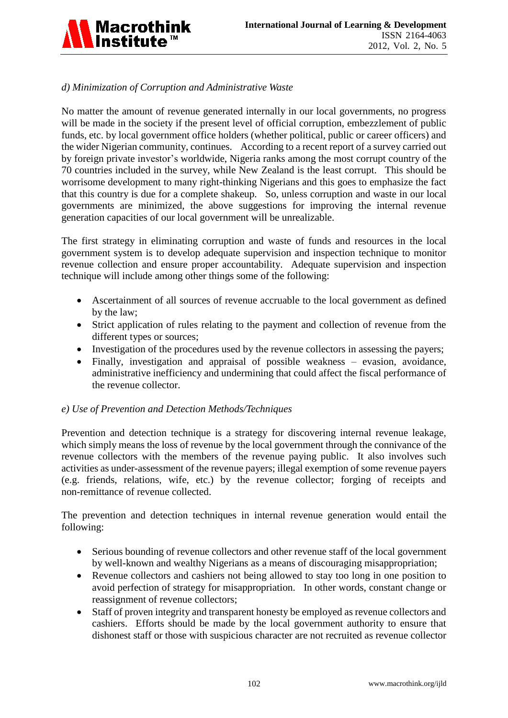

# *d) Minimization of Corruption and Administrative Waste*

No matter the amount of revenue generated internally in our local governments, no progress will be made in the society if the present level of official corruption, embezzlement of public funds, etc. by local government office holders (whether political, public or career officers) and the wider Nigerian community, continues. According to a recent report of a survey carried out by foreign private investor"s worldwide, Nigeria ranks among the most corrupt country of the 70 countries included in the survey, while New Zealand is the least corrupt. This should be worrisome development to many right-thinking Nigerians and this goes to emphasize the fact that this country is due for a complete shakeup. So, unless corruption and waste in our local governments are minimized, the above suggestions for improving the internal revenue generation capacities of our local government will be unrealizable.

The first strategy in eliminating corruption and waste of funds and resources in the local government system is to develop adequate supervision and inspection technique to monitor revenue collection and ensure proper accountability. Adequate supervision and inspection technique will include among other things some of the following:

- Ascertainment of all sources of revenue accruable to the local government as defined by the law;
- Strict application of rules relating to the payment and collection of revenue from the different types or sources;
- Investigation of the procedures used by the revenue collectors in assessing the payers;
- Finally, investigation and appraisal of possible weakness evasion, avoidance, administrative inefficiency and undermining that could affect the fiscal performance of the revenue collector.

#### *e) Use of Prevention and Detection Methods/Techniques*

Prevention and detection technique is a strategy for discovering internal revenue leakage, which simply means the loss of revenue by the local government through the connivance of the revenue collectors with the members of the revenue paying public. It also involves such activities as under-assessment of the revenue payers; illegal exemption of some revenue payers (e.g. friends, relations, wife, etc.) by the revenue collector; forging of receipts and non-remittance of revenue collected.

The prevention and detection techniques in internal revenue generation would entail the following:

- Serious bounding of revenue collectors and other revenue staff of the local government by well-known and wealthy Nigerians as a means of discouraging misappropriation;
- Revenue collectors and cashiers not being allowed to stay too long in one position to avoid perfection of strategy for misappropriation. In other words, constant change or reassignment of revenue collectors;
- Staff of proven integrity and transparent honesty be employed as revenue collectors and cashiers. Efforts should be made by the local government authority to ensure that dishonest staff or those with suspicious character are not recruited as revenue collector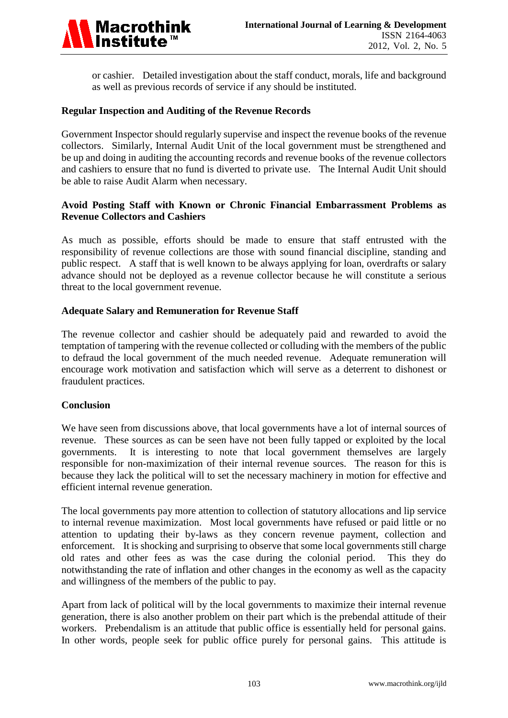

or cashier. Detailed investigation about the staff conduct, morals, life and background as well as previous records of service if any should be instituted.

#### **Regular Inspection and Auditing of the Revenue Records**

Government Inspector should regularly supervise and inspect the revenue books of the revenue collectors. Similarly, Internal Audit Unit of the local government must be strengthened and be up and doing in auditing the accounting records and revenue books of the revenue collectors and cashiers to ensure that no fund is diverted to private use. The Internal Audit Unit should be able to raise Audit Alarm when necessary.

## **Avoid Posting Staff with Known or Chronic Financial Embarrassment Problems as Revenue Collectors and Cashiers**

As much as possible, efforts should be made to ensure that staff entrusted with the responsibility of revenue collections are those with sound financial discipline, standing and public respect. A staff that is well known to be always applying for loan, overdrafts or salary advance should not be deployed as a revenue collector because he will constitute a serious threat to the local government revenue.

## **Adequate Salary and Remuneration for Revenue Staff**

The revenue collector and cashier should be adequately paid and rewarded to avoid the temptation of tampering with the revenue collected or colluding with the members of the public to defraud the local government of the much needed revenue. Adequate remuneration will encourage work motivation and satisfaction which will serve as a deterrent to dishonest or fraudulent practices.

#### **Conclusion**

We have seen from discussions above, that local governments have a lot of internal sources of revenue. These sources as can be seen have not been fully tapped or exploited by the local governments. It is interesting to note that local government themselves are largely responsible for non-maximization of their internal revenue sources. The reason for this is because they lack the political will to set the necessary machinery in motion for effective and efficient internal revenue generation.

The local governments pay more attention to collection of statutory allocations and lip service to internal revenue maximization. Most local governments have refused or paid little or no attention to updating their by-laws as they concern revenue payment, collection and enforcement. It is shocking and surprising to observe that some local governments still charge old rates and other fees as was the case during the colonial period. This they do notwithstanding the rate of inflation and other changes in the economy as well as the capacity and willingness of the members of the public to pay.

Apart from lack of political will by the local governments to maximize their internal revenue generation, there is also another problem on their part which is the prebendal attitude of their workers. Prebendalism is an attitude that public office is essentially held for personal gains. In other words, people seek for public office purely for personal gains. This attitude is